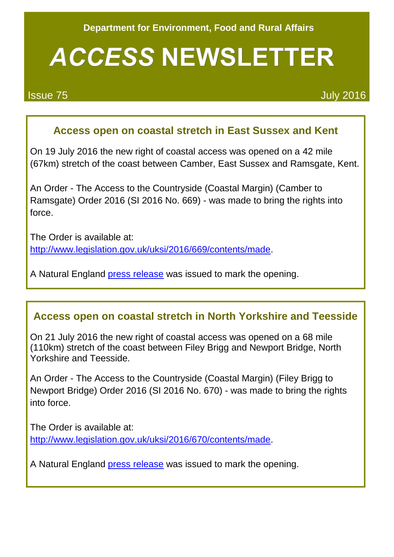# **ACCESS NEWSLETTER**

Issue 75 July 2016

### **Access open on coastal stretch in East Sussex and Kent**

On 19 July 2016 the new right of coastal access was opened on a 42 mile (67km) stretch of the coast between Camber, East Sussex and Ramsgate, Kent.

An Order - The Access to the Countryside (Coastal Margin) (Camber to Ramsgate) Order 2016 (SI 2016 No. 669) - was made to bring the rights into force.

The Order is available at: [http://www.legislation.gov.uk/uksi/2016/669/contents/made.](http://www.legislation.gov.uk/uksi/2016/669/contents/made)

A Natural England [press release](https://www.gov.uk/government/news/natural-england-launches-south-easts-first-section-of-england-coast-path) was issued to mark the opening.

#### **Access open on coastal stretch in North Yorkshire and Teesside**

On 21 July 2016 the new right of coastal access was opened on a 68 mile (110km) stretch of the coast between Filey Brigg and Newport Bridge, North Yorkshire and Teesside.

An Order - The Access to the Countryside (Coastal Margin) (Filey Brigg to Newport Bridge) Order 2016 (SI 2016 No. 670) - was made to bring the rights into force.

The Order is available at: [http://www.legislation.gov.uk/uksi/2016/670/contents/made.](http://www.legislation.gov.uk/uksi/2016/670/contents/made)

A Natural England [press release](https://www.gov.uk/government/news/longest-section-of-england-coast-path-opens-in-middlesbrough) was issued to mark the opening.